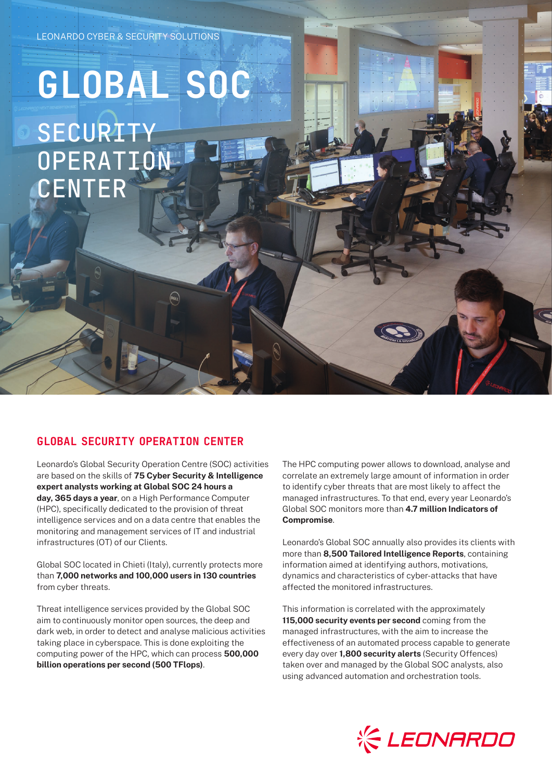## **GLOBAL SOC SECURITY OPERATION** CENTER

## GLOBAL SECURITY OPERATION CENTER

Leonardo's Global Security Operation Centre (SOC) activities are based on the skills of **75 Cyber Security & Intelligence expert analysts working at Global SOC 24 hours a day, 365 days a year**, on a High Performance Computer (HPC), specifically dedicated to the provision of threat intelligence services and on a data centre that enables the monitoring and management services of IT and industrial infrastructures (OT) of our Clients.

Global SOC located in Chieti (Italy), currently protects more than **7,000 networks and 100,000 users in 130 countries** from cyber threats.

Threat intelligence services provided by the Global SOC aim to continuously monitor open sources, the deep and dark web, in order to detect and analyse malicious activities taking place in cyberspace. This is done exploiting the computing power of the HPC, which can process **500,000 billion operations per second (500 TFlops)**.

The HPC computing power allows to download, analyse and correlate an extremely large amount of information in order to identify cyber threats that are most likely to affect the managed infrastructures. To that end, every year Leonardo's Global SOC monitors more than **4.7 million Indicators of Compromise**.

Leonardo's Global SOC annually also provides its clients with more than **8,500 Tailored Intelligence Reports**, containing information aimed at identifying authors, motivations, dynamics and characteristics of cyber-attacks that have affected the monitored infrastructures.

This information is correlated with the approximately **115,000 security events per second** coming from the managed infrastructures, with the aim to increase the effectiveness of an automated process capable to generate every day over **1,800 security alerts** (Security Offences) taken over and managed by the Global SOC analysts, also using advanced automation and orchestration tools.